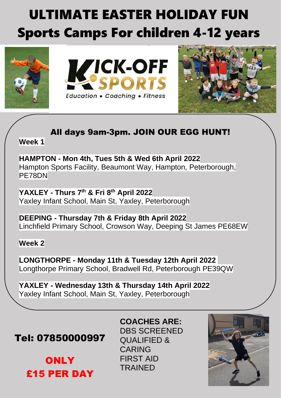## ULTIMATE EASTER HOLIDAY FUN Sports Camps For children 4-12 years







## All days 9am-3pm. JOIN OUR EGG HUNT!

**Week 1**

**HAMPTON - Mon 4th, Tues 5th & Wed 6th April 2022** Hampton Sports Facility, Beaumont Way, Hampton, Peterborough, PE78DN

**YAXLEY - Thurs 7 th & Fri 8 th April 2022** Yaxley Infant School, Main St, Yaxley, Peterborough

**DEEPING - Thursday 7th & Friday 8th April 2022** Linchfield Primary School, Crowson Way, Deeping St James PE68EW

## **Week 2**

**LONGTHORPE - Monday 11th & Tuesday 12th April 2022** Longthorpe Primary School, Bradwell Rd, Peterborough PE39QW

**YAXLEY - Wednesday 13th & Thursday 14th April 2022** Yaxley Infant School, Main St, Yaxley, Peterborough

Tel: 07850000997

**ONLY** £15 PER DAY DBS SCREENED QUALIFIED & CARING FIRST AID **TRAINED** 

**COACHES ARE:**